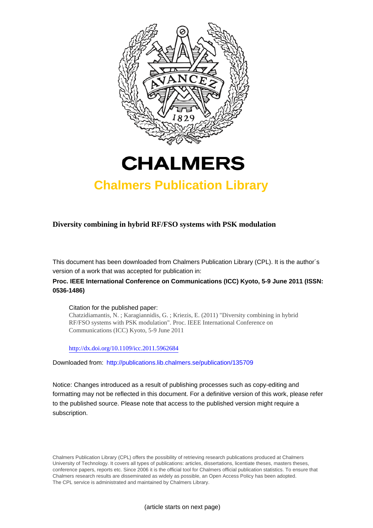



## **Chalmers Publication Library**

## **Diversity combining in hybrid RF/FSO systems with PSK modulation**

This document has been downloaded from Chalmers Publication Library (CPL). It is the author´s version of a work that was accepted for publication in:

## **Proc. IEEE International Conference on Communications (ICC) Kyoto, 5-9 June 2011 (ISSN: 0536-1486)**

#### Citation for the published paper:

Chatzidiamantis, N. ; Karagiannidis, G. ; Kriezis, E. (2011) "Diversity combining in hybrid RF/FSO systems with PSK modulation". Proc. IEEE International Conference on Communications (ICC) Kyoto, 5-9 June 2011

<http://dx.doi.org/10.1109/icc.2011.5962684>

Downloaded from: <http://publications.lib.chalmers.se/publication/135709>

Notice: Changes introduced as a result of publishing processes such as copy-editing and formatting may not be reflected in this document. For a definitive version of this work, please refer to the published source. Please note that access to the published version might require a subscription.

Chalmers Publication Library (CPL) offers the possibility of retrieving research publications produced at Chalmers University of Technology. It covers all types of publications: articles, dissertations, licentiate theses, masters theses, conference papers, reports etc. Since 2006 it is the official tool for Chalmers official publication statistics. To ensure that Chalmers research results are disseminated as widely as possible, an Open Access Policy has been adopted. The CPL service is administrated and maintained by Chalmers Library.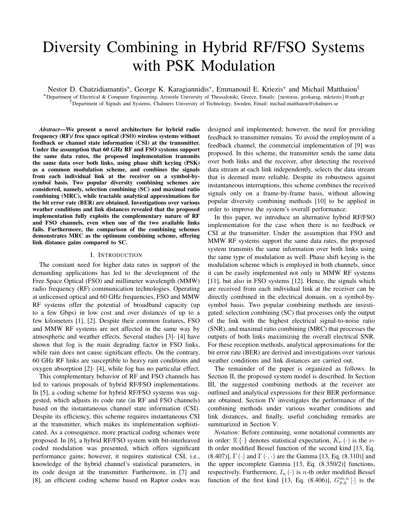# Diversity Combining in Hybrid RF/FSO Systems with PSK Modulation

Nestor D. Chatzidiamantis<sup>∗</sup>, George K. Karagiannidis<sup>∗</sup>, Emmanouil E. Kriezis<sup>∗</sup> and Michail Matthaiou<sup>†</sup>

<sup>∗</sup>Department of Electrical & Computer Engineering, Aristotle University of Thessaloniki, Greece, Emails: {nestoras, geokarag, mkriezis}@auth.gr  $\bar{p}$  Department of Signals and Systems, Chalmers University of Technology, Sweden, Email: michail.matthaiou@chalmers.se

*Abstract*—We present a novel architecture for hybrid radio frequency (RF)/ free space optical (FSO) wireless systems without feedback or channel state information (CSI) at the transmitter. Under the assumption that 60 GHz RF and FSO systems support the same data rates, the proposed implementation transmits the same data over both links, using phase shift keying (PSK) as a common modulation scheme, and combines the signals from each individual link at the receiver on a symbol-bysymbol basis. Two popular diversity combining schemes are considered, namely, selection combining (SC) and maximal ratio combining (MRC), while tractable analytical approximations for the bit error rate (BER) are obtained. Investigations over various weather conditions and link distances revealed that the proposed implementation fully exploits the complementary nature of RF and FSO channels, even when one of the two available links fails. Furthermore, the comparison of the combining schemes demonstrates MRC as the optimum combining scheme, offering link distance gains compared to SC.

#### I. INTRODUCTION

The constant need for higher data rates in support of the demanding applications has led to the development of the Free Space Optical (FSO) and millimeter wavelength (MMW) radio frequency (RF) communication technologies. Operating at unlicensed optical and 60 GHz frequencies, FSO and MMW RF systems offer the potential of broadband capacity (up to a few Gbps) in low cost and over distances of up to a few kilometers [1], [2]. Despite their common features, FSO and MMW RF systems are not affected in the same way by atmospheric and weather effects. Several studies [3]- [4] have shown that fog is the main degrading factor in FSO links, while rain does not cause significant effects. On the contrary, 60 GHz RF links are susceptible to heavy rain conditions and oxygen absorption [2]- [4], while fog has no particular effect.

This complementary behavior of RF and FSO channels has led to various proposals of hybrid RF/FSO implementations. In [5], a coding scheme for hybrid RF/FSO systems was suggested, which adjusts its code rate (in RF and FSO channels) based on the instantaneous channel state information (CSI). Despite its efficiency, this scheme requires instantaneous CSI at the transmitter, which makes its implementation sophisticated. As a consequence, more practical coding schemes were proposed. In [6], a hybrid RF/FSO system with bit-interleaved coded modulation was presented, which offers significant performance gains; however, it requires statistical CSI, i.e., knowledge of the hybrid channel's statistical parameters, in its code design at the transmitter. Furthermore, in [7] and [8], an efficient coding scheme based on Raptor codes was designed and implemented; however, the need for providing feedback to transmitter remains. To avoid the employment of a feedback channel, the commercial implementation of [9] was proposed. In this scheme, the transmitter sends the same data over both links and the receiver, after detecting the received data stream at each link independently, selects the data stream that is deemed more reliable. Despite its robustness against instantaneous interruptions, this scheme combines the received signals only on a frame-by-frame basis, without allowing popular diversity combining methods [10] to be applied in order to improve the system's overall performance.

In this paper, we introduce an alternative hybrid RF/FSO implementation for the case when there is no feedback or CSI at the transmitter. Under the assumption that FSO and MMW RF systems support the same data rates, the proposed system transmits the same information over both links using the same type of modulation as well. Phase shift keying is the modulation scheme which is employed in both channels, since it can be easily implemented not only in MMW RF systems [11], but also in FSO systems [12]. Hence, the signals which are received from each individual link at the receiver can be directly combined in the electrical domain, on a symbol-bysymbol basis. Two popular combining methods are investigated: selection combining (SC) that processes only the output of the link with the highest electrical signal-to-noise ratio (SNR), and maximal ratio combining (MRC) that processes the outputs of both links maximizing the overall electrical SNR. For these reception methods, analytical approximations for the bit error rate (BER) are derived and investigations over various weather conditions and link distances are carried out.

The remainder of the paper is organized as follows. In Section II, the proposed system model is described. In Section III, the suggested combining methods at the receiver are outlined and analytical expressions for their BER performance are obtained. Section IV investigates the performance of the combining methods under various weather conditions and link distances, and finally, useful concluding remarks are summarized in Section V.

*Notation:* Before continuing, some notational comments are in order:  $\mathbb{E}\{\cdot\}$  denotes statistical expectation,  $K_{\nu}(\cdot)$  is the  $\nu$ th order modified Bessel function of the second kind [13, Eq.  $(8.407)$ ],  $\Gamma(\cdot)$  and  $\Gamma(\cdot, \cdot)$  are the Gamma [13, Eq. (8.310)] and the upper incomplete Gamma [13, Eq. (8.350/2)] functions, respectively. Furthermore,  $I_n(\cdot)$  is *n*-th order modified Bessel function of the first kind [13, Eq. (8.406)],  $G_{p,q}^{m,n}$  [·] is the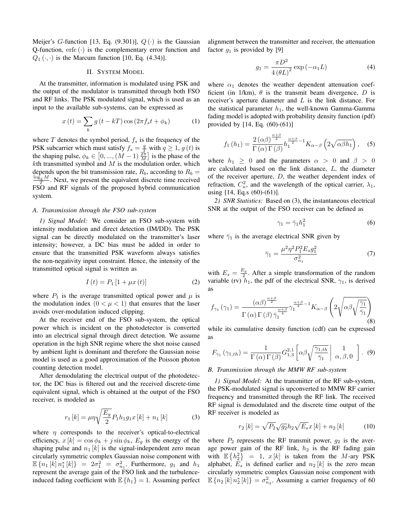Meijer's G-function [13, Eq. (9.301)],  $Q(\cdot)$  is the Gaussian Q-function,  $erfc(\cdot)$  is the complementary error function and  $Q_1(\cdot, \cdot)$  is the Marcum function [10, Eq. (4.34)].

#### II. SYSTEM MODEL

At the transmitter, information is modulated using PSK and the output of the modulator is transmitted through both FSO and RF links. The PSK modulated signal, which is used as an input to the available sub-systems, can be expressed as

$$
x(t) = \sum_{k} g(t - kT) \cos(2\pi f_s t + \phi_k)
$$
 (1)

where T denotes the symbol period,  $f_s$  is the frequency of the PSK subcarrier which must satisfy  $f_s = \frac{q}{T}$  with  $q \ge 1$ ,  $g(t)$  is the shaping pulse,  $\phi_k \in [0, ..., (M-1) \frac{2\pi}{M}]$  is the phase of the  $k$ th transmitted symbol and  $M$  is the modulation order, which depends upon the bit transmission rate,  $R_b$ , according to  $R_b$  =  $\frac{\log_2 M}{T}$ . Next, we present the equivalent discrete time received FSO and RF signals of the proposed hybrid communication system.

#### *A. Transmission through the FSO sub-system*

*1) Signal Model:* We consider an FSO sub-system with intensity modulation and direct detection (IM/DD). The PSK signal can be directly modulated on the transmitter's laser intensity; however, a DC bias must be added in order to ensure that the transmitted PSK waveform always satisfies the non-negativity input constraint. Hence, the intensity of the transmitted optical signal is written as

$$
I(t) = P_1 [1 + \mu x(t)] \tag{2}
$$

where  $P_1$  is the average transmitted optical power and  $\mu$  is the modulation index  $(0 < \mu < 1)$  that ensures that the laser avoids over-modulation induced clipping.

At the receiver end of the FSO sub-system, the optical power which is incident on the photodetector is converted into an electrical signal through direct detection. We assume operation in the high SNR regime where the shot noise caused by ambient light is dominant and therefore the Gaussian noise model is used as a good approximation of the Poisson photon counting detection model.

After demodulating the electrical output of the photodetector, the DC bias is filtered out and the received discrete-time equivalent signal, which is obtained at the output of the FSO receiver, is modeled as

$$
r_1[k] = \mu \eta \sqrt{\frac{E_g}{2}} P_1 h_1 g_1 x [k] + n_1 [k]
$$
 (3)

where  $\eta$  corresponds to the receiver's optical-to-electrical efficiency,  $x[k] = \cos \phi_k + j \sin \phi_k$ ,  $E_g$  is the energy of the shaping pulse and  $n_1$  [k] is the signal-independent zero mean circularly symmetric complex Gaussian noise component with  $\mathbb{E} \{ n_1 [k] n_1^* [k] \} = 2\sigma_1^2 = \sigma_{n_1}^2$ . Furthermore,  $g_1$  and  $h_1$ represent the average gain of the FSO link and the turbulenceinduced fading coefficient with  $\mathbb{E}\{h_1\} = 1$ . Assuming perfect alignment between the transmitter and receiver, the attenuation factor  $g_1$  is provided by [9]

$$
g_1 = \frac{\pi D^2}{4\left(\theta L\right)^2} \exp\left(-\alpha_1 L\right) \tag{4}
$$

where  $\alpha_1$  denotes the weather dependent attenuation coefficient (in 1/km),  $\theta$  is the transmit beam divergence, D is receiver's aperture diameter and L is the link distance. For the statistical parameter  $h_1$ , the well-known Gamma-Gamma fading model is adopted with probability density function (pdf) provided by [14, Eq. (60)-(61)]

$$
f_1(h_1) = \frac{2(\alpha \beta)^{\frac{\alpha+\beta}{2}}}{\Gamma(\alpha)\Gamma(\beta)} h_1^{\frac{\alpha+\beta}{2}-1} K_{\alpha-\beta} \left(2\sqrt{\alpha \beta h_1}\right), \quad (5)
$$

where  $h_1 \geq 0$  and the parameters  $\alpha > 0$  and  $\beta > 0$ are calculated based on the link distance, L, the diameter of the receiver aperture, D, the weather dependent index of refraction,  $C_n^2$ , and the wavelength of the optical carrier,  $\lambda_1$ , using  $[14, Eq.s (60)-(61)].$ 

*2) SNR Statistics:* Based on (3), the instantaneous electrical SNR at the output of the FSO receiver can be defined as

$$
\gamma_1 = \bar{\gamma}_1 h_1^2 \tag{6}
$$

where  $\bar{\gamma}_1$  is the average electrical SNR given by

$$
\bar{\gamma}_1 = \frac{\mu^2 \eta^2 P_1^2 E_s g_1^2}{\sigma_{n_1}^2} \tag{7}
$$

with  $E_s = \frac{E_g}{2}$ . After a simple transformation of the random variable (rv)  $h_1$ , the pdf of the electrical SNR,  $\gamma_1$ , is derived as

$$
f_{\gamma_1}(\gamma_1) = \frac{(\alpha \beta)^{\frac{\alpha+\beta}{2}}}{\Gamma(\alpha)\Gamma(\beta)\bar{\gamma}_1^{\frac{\alpha+\beta}{4}}}\gamma_1^{\frac{\alpha+\beta}{4}-1}K_{\alpha-\beta}\left(2\sqrt{\alpha\beta\sqrt{\frac{\gamma_1}{\bar{\gamma}_1}}}\right)
$$
(8)

while its cumulative density function (cdf) can be expressed as

$$
F_{\gamma_1}(\gamma_{1,th}) = \frac{1}{\Gamma(\alpha)\Gamma(\beta)} G_{1,3}^{2,1} \left[ \alpha \beta \sqrt{\frac{\gamma_{1,th}}{\bar{\gamma}_1}} \middle| \begin{array}{c} 1 \\ \alpha, \beta, 0 \end{array} \right]. (9)
$$

#### *B. Transmission through the MMW RF sub-system*

*1) Signal Model:* At the transmitter of the RF sub-system, the PSK-modulated signal is upconverted to MMW RF carrier frequency and transmitted through the RF link. The received RF signal is demodulated and the discrete time output of the RF receiver is modeled as

$$
r_2[k] = \sqrt{P_2} \sqrt{g_2} h_2 \sqrt{E_s} x[k] + n_2[k] \tag{10}
$$

where  $P_2$  represents the RF transmit power,  $g_2$  is the average power gain of the RF link,  $h_2$  is the RF fading gain with  $\mathbb{E} \left\{ h_2^2 \right\} = 1$ ,  $x[k]$  is taken from the M-ary PSK alphabet,  $E_s$  is defined earlier and  $n_2[k]$  is the zero mean circularly symmetric complex Gaussian noise component with  $\mathbb{E}\left\{n_2[k]\,n_2^*[k]\right\} = \sigma_{n_2}^2$ . Assuming a carrier frequency of 60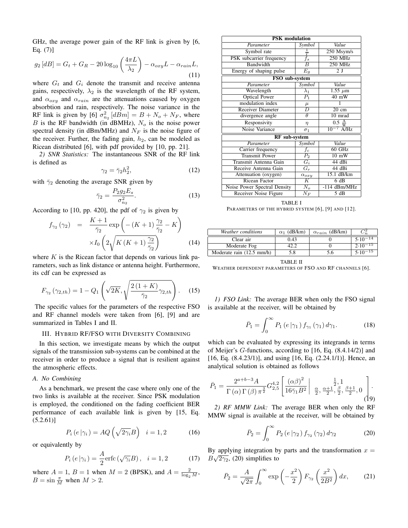GHz, the average power gain of the RF link is given by [6, Eq.  $(7)$ ]  $\mathbf{r}$ 

$$
g_2[dB] = G_t + G_R - 20\log_{10}\left(\frac{4\pi L}{\lambda_2}\right) - \alpha_{oxy}L - \alpha_{rain}L,
$$
\n(11)

where  $G_t$  and  $G_i$  denote the transmit and receive antenna gains, respectively,  $\lambda_2$  is the wavelength of the RF system, and  $\alpha_{oxy}$  and  $\alpha_{rain}$  are the attenuations caused by oxygen absorbtion and rain, respectively. The noise variance in the RF link is given by [6]  $\sigma_{n_2}^2$  [dBm] =  $B + N_o + N_F$ , where  $B$  is the RF bandwidth (in dBMHz),  $N<sub>o</sub>$  is the noise power spectral density (in dBm/MHz) and  $N_F$  is the noise figure of the receiver. Further, the fading gain,  $h_2$ , can be modeled as Ricean distributed [6], with pdf provided by [10, pp. 21].

*2) SNR Statistics:* The instantaneous SNR of the RF link is defined as

$$
\gamma_2 = \bar{\gamma}_2 h_2^2,\tag{12}
$$

with  $\bar{\gamma}_2$  denoting the average SNR given by

$$
\bar{\gamma}_2 = \frac{P_2 g_2 E_s}{\sigma_{n_2}^2}.\tag{13}
$$

According to [10, pp. 420], the pdf of 
$$
\gamma_2
$$
 is given by  
\n
$$
f_{\gamma_2}(\gamma_2) = \frac{K+1}{\overline{\gamma}_2} \exp\left(-(K+1)\frac{\gamma_2}{\overline{\gamma}_2} - K\right)
$$
\n
$$
\times I_0\left(2\sqrt{K\left(K+1\right)\frac{\gamma_2}{\overline{\gamma}_2}}\right) \tag{14}
$$

where  $K$  is the Ricean factor that depends on various link parameters, such as link distance or antenna height. Furthermore, its cdf can be expressed as

$$
F_{\gamma_2}(\gamma_{2,th}) = 1 - Q_1\left(\sqrt{2K}, \sqrt{\frac{2(1+K)}{\bar{\gamma}_2}\gamma_{2,th}}\right). \quad (15)
$$

The specific values for the parameters of the respective FSO and RF channel models were taken from [6], [9] and are summarized in Tables I and II.

#### III. HYBRID RF/FSO WITH DIVERSITY COMBINING

In this section, we investigate means by which the output signals of the transmission sub-systems can be combined at the receiver in order to produce a signal that is resilient against the atmospheric effects.

#### *A. No Combining*

As a benchmark, we present the case where only one of the two links is available at the receiver. Since PSK modulation is employed, the conditioned on the fading coefficient BER performance of each available link is given by [15, Eq.  $(5.2.61)$ ] ´

$$
P_i\left(e\left|\gamma_i\right.\right) = AQ\left(\sqrt{2\gamma_i}B\right) \quad i=1,2 \tag{16}
$$

or equivalently by

$$
P_i\left(e\left|\gamma_i\right.\right) = \frac{A}{2}\text{erfc}\left(\sqrt{\gamma_i}B\right), \quad i = 1, 2 \tag{17}
$$

where  $A = 1$ ,  $B = 1$  when  $M = 2$  (BPSK), and  $A = \frac{2}{\log_2 M}$ ,  $B = \sin \frac{\pi}{M}$  when  $M > 2$ .

| <b>PSK</b> modulation        |                    |                  |  |  |  |
|------------------------------|--------------------|------------------|--|--|--|
| Parameter                    | Symbol             | Value            |  |  |  |
| Symbol rate                  | $\bar{\bar{\tau}}$ | 250 Msym/s       |  |  |  |
| PSK subcarrier frequency     | $f_s$              | $250$ MHz        |  |  |  |
| Bandwidth                    | $\overline{B}$     | <b>250 MHz</b>   |  |  |  |
| Energy of shaping pulse      | $\overline{E}_g$   | 2 <sub>J</sub>   |  |  |  |
| FSO sub-system               |                    |                  |  |  |  |
| Parameter                    | Symbol             | Value            |  |  |  |
| Wavelength                   | $\lambda_1$        | $1.55 \mu m$     |  |  |  |
| <b>Optical Power</b>         | $\overline{P_{1}}$ | $40 \text{ mW}$  |  |  |  |
| modulation index             | $\mu$              | 1                |  |  |  |
| <b>Receiver Diameter</b>     | $\overline{D}$     | $20 \text{ cm}$  |  |  |  |
| divergence angle             | $\theta$           | 10 mrad          |  |  |  |
| Responsivity                 | $\eta$             | $0.5\frac{A}{W}$ |  |  |  |
| Noise Variance               | $\sigma_1$         | $10^{-7}$ A/Hz   |  |  |  |
| <b>RF</b> sub-system         |                    |                  |  |  |  |
| Parameter                    | Symbol             | Value            |  |  |  |
| Carrier frequency            | $f_c$              | $60$ GHz         |  |  |  |
| <b>Transmit Power</b>        | $\overline{P_{2}}$ | $10 \text{ mW}$  |  |  |  |
| Transmit Antenna Gain        | $\overline{G}_i$   | 44dBi            |  |  |  |
| Receive Antenna Gain         | $G_r$              | 44dBi            |  |  |  |
| Attenuation (oxygen)         | $\alpha_{oxy}$     | 15.1 dB/km       |  |  |  |
| Ricean Factor                | $\overline{K}$     | 6dB              |  |  |  |
| Noise Power Spectral Density | $N_o$              | $-114$ dBm/MHz   |  |  |  |
| Receiver Noise Figure        | $N_F$              | 5 dB             |  |  |  |

TABLE I PARAMETERS OF THE HYBRID SYSTEM [6], [9] AND [12].

| Weather conditions        | $\alpha_1$ (dB/km) | $\alpha_{rain}$ (dB/km) |              |
|---------------------------|--------------------|-------------------------|--------------|
| Clear air                 | 0.43               |                         | $5.10 - 14$  |
| Moderate Fog              |                    |                         | $2.10^{-15}$ |
| Moderate rain (12.5 mm/h) |                    |                         | $5.10 - 15$  |

TABLE II WEATHER DEPENDENT PARAMETERS OF FSO AND RF CHANNELS [6].

*1) FSO Link:* The average BER when only the FSO signal is available at the receiver, will be obtained by

$$
\bar{P}_1 = \int_0^\infty P_1\left(e\left|\gamma_1\right.\right) f_{\gamma_1}\left(\gamma_1\right) d\gamma_1. \tag{18}
$$

which can be evaluated by expressing its integrands in terms of Meijer's G-functions, according to [16, Eq. (8.4.14/2)] and [16, Eq. (8.4.23/1)], and using [16, Eq. (2.24.1/1)]. Hence, an analytical solution is obtained as follows

$$
\bar{P}_1 = \frac{2^{a+b-3}A}{\Gamma(\alpha)\Gamma(\beta)\pi^{\frac{3}{2}}}G_{2,5}^{4,2}\left[\frac{(\alpha\beta)^2}{16\bar{\gamma}_1B^2}\bigg|\begin{array}{c} \frac{1}{2},1\\ \frac{\alpha}{2},\frac{\alpha+1}{2},\frac{\beta}{2},\frac{\beta+1}{2},0 \end{array}\right].
$$

*2) RF MMW Link:* The average BER when only the RF MMW signal is available at the receiver, will be obtained by

$$
\bar{P}_2 = \int_0^\infty P_2\left(e \mid \gamma_2\right) f_{\gamma_2}\left(\gamma_2\right) d\gamma_2 \tag{20}
$$

By applying integration by parts and the transformation  $x = \sqrt{2\pi}$  $B\sqrt{2\gamma_2}$ , (20) simplifies to

$$
\bar{P}_2 = \frac{A}{\sqrt{2\pi}} \int_0^\infty \exp\left(-\frac{x^2}{2}\right) F_{\gamma_2}\left(\frac{x^2}{2B^2}\right) dx, \qquad (21)
$$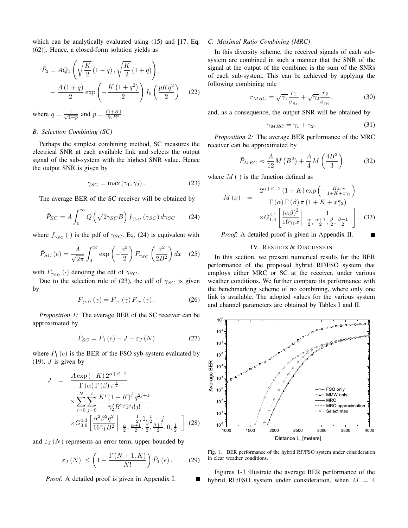which can be analytically evaluated using  $(15)$  and  $[17, Eq.$ (62)]. Hence, a closed-form solution yields as

$$
\bar{P}_2 = AQ_1 \left( \sqrt{\frac{K}{2}} \left( 1 - q \right), \sqrt{\frac{K}{2}} \left( 1 + q \right) \right) \n- \frac{A \left( 1 + q \right)}{2} \exp \left( -\frac{K \left( 1 + q^2 \right)}{2} \right) I_0 \left( \frac{pKq^2}{2} \right) \quad (22)
$$

where  $q = \frac{1}{\sqrt{1+p}}$  and  $p = \frac{(1+K)}{\bar{\gamma}_2 B^2}$ .

#### *B. Selection Combining (SC)*

Perhaps the simplest combining method, SC measures the electrical SNR at each available link and selects the output signal of the sub-system with the highest SNR value. Hence the output SNR is given by

$$
\gamma_{SC} = \max(\gamma_1, \gamma_2). \tag{23}
$$

The average BER of the SC receiver will be obtained by

$$
\bar{P}_{SC} = A \int_0^\infty Q\left(\sqrt{2\gamma_{SC}}B\right) f_{\gamma_{SC}}\left(\gamma_{SC}\right) d\gamma_{SC} \tag{24}
$$

where  $f_{\gamma_{SC}}(\cdot)$  is the pdf of  $\gamma_{SC}$ . Eq. (24) is equivalent with

$$
\bar{P}_{SC}\left(e\right) = \frac{A}{\sqrt{2\pi}} \int_0^\infty \exp\left(-\frac{x^2}{2}\right) F_{\gamma_{SC}}\left(\frac{x^2}{2B^2}\right) dx \quad (25)
$$

with  $F_{\gamma_{SC}}(\cdot)$  denoting the cdf of  $\gamma_{SC}$ .

Due to the selection rule of (23), the cdf of  $\gamma_{SC}$  is given by

$$
F_{\gamma_{SC}}\left(\gamma\right) = F_{\gamma_1}\left(\gamma\right) F_{\gamma_2}\left(\gamma\right). \tag{26}
$$

*Proposition 1:* The average BER of the SC receiver can be approximated by

$$
\bar{P}_{SC} = \bar{P}_1(e) - J - \varepsilon_J(N) \tag{27}
$$

where  $\overline{P}_1(e)$  is the BER of the FSO syb-system evaluated by  $(19)$ , *J* is given by

$$
J = \frac{A \exp(-K) 2^{\alpha+\beta-2}}{\Gamma(\alpha) \Gamma(\beta) \pi^{\frac{3}{2}}} \times \sum_{i=0}^{N} \sum_{j=0}^{i} \frac{K^{i} (1+K)^{j} q^{2j+1}}{\bar{\gamma}_{2}^{j} B^{2j} 2^{j} i! j!} \times G_{3,6}^{4,3} \left[ \frac{\alpha^{2} \beta^{2} q^{2}}{16 \bar{\gamma}_{1} B^{2}} \bigg| \frac{\frac{1}{2}, 1, \frac{1}{2} - j}{\frac{\alpha}{2}, \frac{\alpha+1}{2}, \frac{\beta}{2}, \frac{\beta+1}{2}, 0, \frac{1}{2}} \right] (28)
$$

and  $\varepsilon_J(N)$  represents an error term, upper bounded by

$$
|\varepsilon_J\left(N\right)| \le \left(1 - \frac{\Gamma\left(N+1, K\right)}{N!}\right) \bar{P}_1\left(e\right). \tag{29}
$$

*Proof:* A detailed proof is given in Appendix I.

#### *C. Maximal Ratio Combining (MRC)*

In this diversity scheme, the received signals of each subsystem are combined in such a manner that the SNR of the signal at the output of the combiner is the sum of the SNRs of each sub-system. This can be achieved by applying the following combining rule

$$
r_{MRC} = \sqrt{\gamma_1} \frac{r_1}{\sigma_{n_1}} + \sqrt{\gamma_2} \frac{r_2}{\sigma_{n_2}},
$$
\n(30)

and, as a consequence, the output SNR will be obtained by

$$
\gamma_{MRC} = \gamma_1 + \gamma_2. \tag{31}
$$

*Proposition 2:* The average BER performance of the MRC receiver can be approximated by

$$
\bar{P}_{MRC} \approx \frac{A}{12} M \left( B^2 \right) + \frac{A}{4} M \left( \frac{4B^2}{3} \right) \tag{32}
$$

where  $M(\cdot)$  is the function defined as

$$
M(x) = \frac{2^{\alpha+\beta-2} (1+K) \exp\left(-\frac{Kx\bar{\gamma}_2}{1+K+x\bar{\gamma}_2}\right)}{\Gamma(\alpha)\Gamma(\beta)\pi (1+K+x\bar{\gamma}_2)}
$$

$$
\times G_{1,4}^{4,1} \left[\frac{(\alpha\beta)^2}{16\bar{\gamma}_1 x}\Big| \frac{1}{\frac{\alpha}{2}, \frac{\alpha+1}{2}, \frac{\beta}{2}, \frac{\beta+1}{2}}\right].
$$
 (33)

*Proof:* A detailed proof is given in Appendix II.

#### IV. RESULTS & DISCUSSION

In this section, we present numerical results for the BER performance of the proposed hybrid RF/FSO system that employs either MRC or SC at the receiver, under various weather conditions. We further compare its performance with the benchmarking scheme of no combining, where only one link is available. The adopted values for the various system and channel parameters are obtained by Tables I and II.



Fig. 1. BER performance of the hybrid RF/FSO system under consideration in clear weather conditions.

Figures 1-3 illustrate the average BER performance of the hybrid RF/FSO system under consideration, when  $M = 4$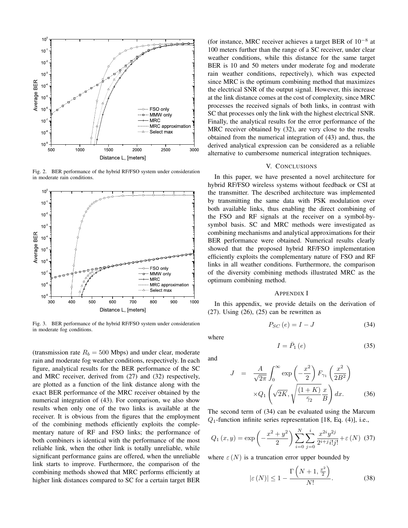

Fig. 2. BER performance of the hybrid RF/FSO system under consideration in moderate rain conditions.



Fig. 3. BER performance of the hybrid RF/FSO system under consideration in moderate fog conditions.

(transmission rate  $R_b = 500$  Mbps) and under clear, moderate rain and moderate fog weather conditions, respectively. In each figure, analytical results for the BER performance of the SC and MRC receiver, derived from (27) and (32) respectively, are plotted as a function of the link distance along with the exact BER performance of the MRC receiver obtained by the numerical integration of (43). For comparison, we also show results when only one of the two links is available at the receiver. It is obvious from the figures that the employment of the combining methods efficiently exploits the complementary nature of RF and FSO links; the performance of both combiners is identical with the performance of the most reliable link, when the other link is totally unreliable, while significant performance gains are offered, when the unreliable link starts to improve. Furthermore, the comparison of the combining methods showed that MRC performs efficiently at higher link distances compared to SC for a certain target BER

(for instance, MRC receiver achieves a target BER of  $10^{-8}$  at 100 meters further than the range of a SC receiver, under clear weather conditions, while this distance for the same target BER is 10 and 50 meters under moderate fog and moderate rain weather conditions, repectively), which was expected since MRC is the optimum combining method that maximizes the electrical SNR of the output signal. However, this increase at the link distance comes at the cost of complexity, since MRC processes the received signals of both links, in contrast with SC that processes only the link with the highest electrical SNR. Finally, the analytical results for the error performance of the MRC receiver obtained by (32), are very close to the results obtained from the numerical integration of (43) and, thus, the derived analytical expression can be considered as a reliable alternative to cumbersome numerical integration techniques.

#### V. CONCLUSIONS

In this paper, we have presented a novel architecture for hybrid RF/FSO wireless systems without feedback or CSI at the transmitter. The described architecture was implemented by transmitting the same data with PSK modulation over both available links, thus enabling the direct combining of the FSO and RF signals at the receiver on a symbol-bysymbol basis. SC and MRC methods were investigated as combining mechanisms and analytical approximations for their BER performance were obtained. Numerical results clearly showed that the proposed hybrid RF/FSO implementation efficiently exploits the complementary nature of FSO and RF links in all weather conditions. Furthermore, the comparison of the diversity combining methods illustrated MRC as the optimum combining method.

#### APPENDIX I

In this appendix, we provide details on the derivation of  $(27)$ . Using  $(26)$ ,  $(25)$  can be rewritten as

$$
P_{SC}(e) = I - J \tag{34}
$$

where

$$
I = \bar{P}_1(e) \tag{35}
$$

and

$$
J = \frac{A}{\sqrt{2\pi}} \int_0^\infty \exp\left(-\frac{x^2}{2}\right) F_{\gamma_1}\left(\frac{x^2}{2B^2}\right)
$$

$$
\times Q_1\left(\sqrt{2K}, \sqrt{\frac{(1+K)}{\bar{\gamma}_2}} \frac{x}{B}\right) dx. \tag{36}
$$

The second term of (34) can be evaluated using the Marcum  $Q_1$ -function infinite series representation [18, Eq. (4)], i.e.,

$$
Q_1(x,y) = \exp\left(-\frac{x^2 + y^2}{2}\right) \sum_{i=0}^{N} \sum_{j=0}^{i} \frac{x^{2i}y^{2j}}{2^{i+j}i!j!} + \varepsilon(N) \tag{37}
$$

where  $\varepsilon$  (N) is a truncation error upper bounded by

$$
|\varepsilon(N)| \le 1 - \frac{\Gamma\left(N+1, \frac{x^2}{2}\right)}{N!}.
$$
 (38)